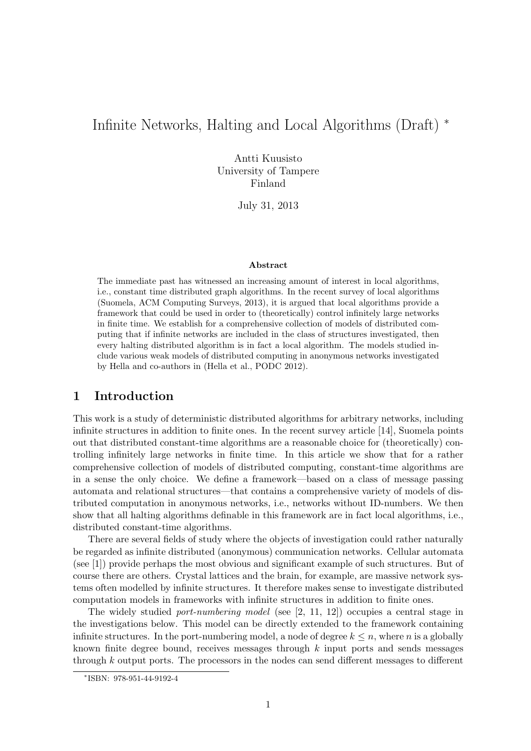# Infinite Networks, Halting and Local Algorithms (Draft) <sup>∗</sup>

Antti Kuusisto University of Tampere Finland

July 31, 2013

#### Abstract

The immediate past has witnessed an increasing amount of interest in local algorithms, i.e., constant time distributed graph algorithms. In the recent survey of local algorithms (Suomela, ACM Computing Surveys, 2013), it is argued that local algorithms provide a framework that could be used in order to (theoretically) control infinitely large networks in finite time. We establish for a comprehensive collection of models of distributed computing that if infinite networks are included in the class of structures investigated, then every halting distributed algorithm is in fact a local algorithm. The models studied include various weak models of distributed computing in anonymous networks investigated by Hella and co-authors in (Hella et al., PODC 2012).

## 1 Introduction

This work is a study of deterministic distributed algorithms for arbitrary networks, including infinite structures in addition to finite ones. In the recent survey article [14], Suomela points out that distributed constant-time algorithms are a reasonable choice for (theoretically) controlling infinitely large networks in finite time. In this article we show that for a rather comprehensive collection of models of distributed computing, constant-time algorithms are in a sense the only choice. We define a framework—based on a class of message passing automata and relational structures—that contains a comprehensive variety of models of distributed computation in anonymous networks, i.e., networks without ID-numbers. We then show that all halting algorithms definable in this framework are in fact local algorithms, i.e., distributed constant-time algorithms.

There are several fields of study where the objects of investigation could rather naturally be regarded as infinite distributed (anonymous) communication networks. Cellular automata (see [1]) provide perhaps the most obvious and significant example of such structures. But of course there are others. Crystal lattices and the brain, for example, are massive network systems often modelled by infinite structures. It therefore makes sense to investigate distributed computation models in frameworks with infinite structures in addition to finite ones.

The widely studied *port-numbering model* (see  $[2, 11, 12]$ ) occupies a central stage in the investigations below. This model can be directly extended to the framework containing infinite structures. In the port-numbering model, a node of degree  $k \leq n$ , where n is a globally known finite degree bound, receives messages through k input ports and sends messages through k output ports. The processors in the nodes can send different messages to different

<sup>∗</sup> ISBN: 978-951-44-9192-4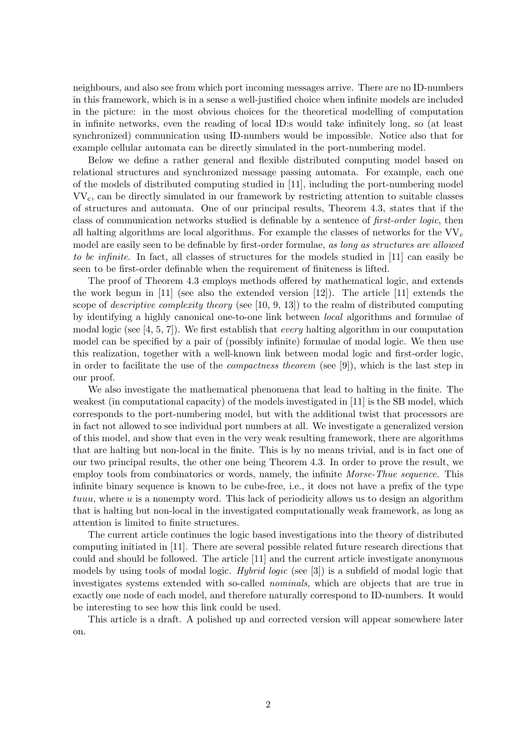neighbours, and also see from which port incoming messages arrive. There are no ID-numbers in this framework, which is in a sense a well-justified choice when infinite models are included in the picture: in the most obvious choices for the theoretical modelling of computation in infinite networks, even the reading of local ID:s would take infinitely long, so (at least synchronized) communication using ID-numbers would be impossible. Notice also that for example cellular automata can be directly simulated in the port-numbering model.

Below we define a rather general and flexible distributed computing model based on relational structures and synchronized message passing automata. For example, each one of the models of distributed computing studied in [11], including the port-numbering model VVc, can be directly simulated in our framework by restricting attention to suitable classes of structures and automata. One of our principal results, Theorem 4.3, states that if the class of communication networks studied is definable by a sentence of first-order logic, then all halting algorithms are local algorithms. For example the classes of networks for the  $VV_c$ model are easily seen to be definable by first-order formulae, as long as structures are allowed to be infinite. In fact, all classes of structures for the models studied in [11] can easily be seen to be first-order definable when the requirement of finiteness is lifted.

The proof of Theorem 4.3 employs methods offered by mathematical logic, and extends the work begun in  $[11]$  (see also the extended version  $[12]$ ). The article  $[11]$  extends the scope of *descriptive complexity theory* (see  $[10, 9, 13]$ ) to the realm of distributed computing by identifying a highly canonical one-to-one link between local algorithms and formulae of modal logic (see [4, 5, 7]). We first establish that *every* halting algorithm in our computation model can be specified by a pair of (possibly infinite) formulae of modal logic. We then use this realization, together with a well-known link between modal logic and first-order logic, in order to facilitate the use of the compactness theorem (see [9]), which is the last step in our proof.

We also investigate the mathematical phenomena that lead to halting in the finite. The weakest (in computational capacity) of the models investigated in [11] is the SB model, which corresponds to the port-numbering model, but with the additional twist that processors are in fact not allowed to see individual port numbers at all. We investigate a generalized version of this model, and show that even in the very weak resulting framework, there are algorithms that are halting but non-local in the finite. This is by no means trivial, and is in fact one of our two principal results, the other one being Theorem 4.3. In order to prove the result, we employ tools from combinatorics or words, namely, the infinite *Morse-Thue sequence*. This infinite binary sequence is known to be cube-free, i.e., it does not have a prefix of the type tuuu, where  $u$  is a nonempty word. This lack of periodicity allows us to design an algorithm that is halting but non-local in the investigated computationally weak framework, as long as attention is limited to finite structures.

The current article continues the logic based investigations into the theory of distributed computing initiated in [11]. There are several possible related future research directions that could and should be followed. The article [11] and the current article investigate anonymous models by using tools of modal logic. Hybrid logic (see [3]) is a subfield of modal logic that investigates systems extended with so-called nominals, which are objects that are true in exactly one node of each model, and therefore naturally correspond to ID-numbers. It would be interesting to see how this link could be used.

This article is a draft. A polished up and corrected version will appear somewhere later on.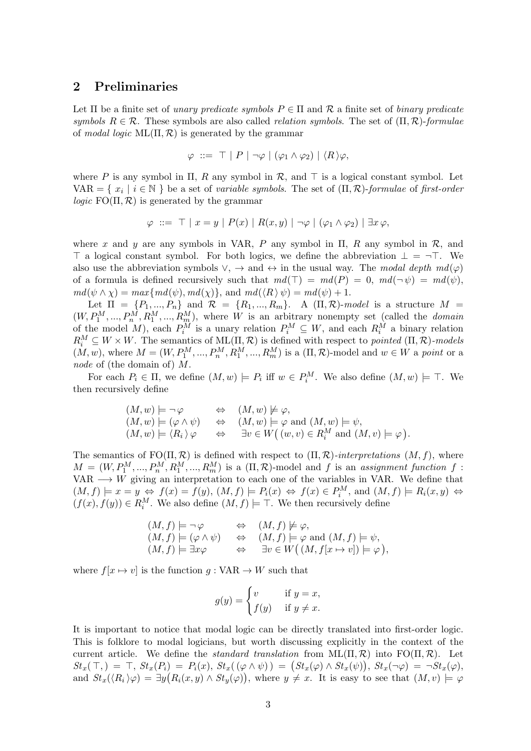#### 2 Preliminaries

Let  $\Pi$  be a finite set of unary predicate symbols  $P \in \Pi$  and  $\mathcal R$  a finite set of binary predicate symbols  $R \in \mathcal{R}$ . These symbols are also called *relation symbols*. The set of  $(\Pi, \mathcal{R})$ -formulae of modal logic  $ML(\Pi, \mathcal{R})$  is generated by the grammar

$$
\varphi\;::=\;\top\;\vert\;P\;\vert\;\neg\varphi\;|\;(\varphi_1\wedge\varphi_2)\;|\;\langle R\,\rangle\varphi,
$$

where P is any symbol in  $\Pi$ , R any symbol in R, and  $\top$  is a logical constant symbol. Let VAR = { $x_i | i \in \mathbb{N}$ } be a set of variable symbols. The set of  $(\Pi, \mathcal{R})$ -formulae of first-order *logic*  $FO(\Pi, \mathcal{R})$  is generated by the grammar

$$
\varphi \ ::= \top \mid x = y \mid P(x) \mid R(x, y) \mid \neg \varphi \mid (\varphi_1 \land \varphi_2) \mid \exists x \varphi,
$$

where x and y are any symbols in VAR, P any symbol in  $\Pi$ , R any symbol in  $\mathcal{R}$ , and  $\top$  a logical constant symbol. For both logics, we define the abbreviation  $\bot = \neg \top$ . We also use the abbreviation symbols  $\vee$ ,  $\rightarrow$  and  $\leftrightarrow$  in the usual way. The modal depth  $md(\varphi)$ of a formula is defined recursively such that  $md(\top) = md(P) = 0$ ,  $md(\neg \psi) = md(\psi)$ ,  $md(\psi \wedge \chi) = max\{md(\psi), md(\chi)\}\text{, and } md(\langle R \rangle \psi) = md(\psi) + 1.$ 

Let  $\Pi = \{P_1, ..., P_n\}$  and  $\mathcal{R} = \{R_1, ..., R_m\}$ . A  $(\Pi, \mathcal{R})$ -model is a structure  $M =$  $(W, P_1^M, ..., P_n^M, R_1^M, ..., R_m^M)$ , where W is an arbitrary nonempty set (called the *domain* of the model M), each  $P_i^M$  is a unary relation  $P_i^M \subseteq W$ , and each  $R_i^M$  a binary relation  $R_i^M \subseteq W \times W$ . The semantics of  $ML(\Pi, \mathcal{R})$  is defined with respect to pointed  $(\Pi, \mathcal{R})$ -models  $(M, w)$ , where  $M = (W, P_1^M, ..., P_n^M, R_1^M, ..., R_m^M)$  is a  $(\Pi, \mathcal{R})$ -model and  $w \in W$  a point or a node of (the domain of) M.

For each  $P_i \in \Pi$ , we define  $(M, w) \models P_i$  iff  $w \in P_i^M$ . We also define  $(M, w) \models \top$ . We then recursively define

$$
(M, w) \models \neg \varphi \Leftrightarrow (M, w) \not\models \varphi, (M, w) \models (\varphi \land \psi) \Leftrightarrow (M, w) \models \varphi \text{ and } (M, w) \models \psi, (M, w) \models \langle R_i \rangle \varphi \Leftrightarrow \exists v \in W((w, v) \in R_i^M \text{ and } (M, v) \models \varphi).
$$

The semantics of  $FO(\Pi, \mathcal{R})$  is defined with respect to  $(\Pi, \mathcal{R})$ -interpretations  $(M, f)$ , where  $M = (W, P_1^M, ..., P_n^M, R_1^M, ..., R_m^M)$  is a  $(\Pi, \mathcal{R})$ -model and f is an assignment function f: VAR  $\longrightarrow$  W giving an interpretation to each one of the variables in VAR. We define that  $(M, f) \models x = y \Leftrightarrow f(x) = f(y), (M, f) \models P_i(x) \Leftrightarrow f(x) \in P_i^M$ , and  $(M, f) \models R_i(x, y) \Leftrightarrow f(x, y) \Leftrightarrow f(x, y) \Leftrightarrow f(x, y) \Leftrightarrow f(x, y) \Leftrightarrow f(x, y) \Leftrightarrow f(x, y) \Leftrightarrow f(x, y) \Leftrightarrow f(x, y) \Leftrightarrow f(x, y) \Leftrightarrow f(x, y) \Leftrightarrow f(x, y) \Leftrightarrow f(x, y) \Leftrightarrow f(x, y) \Leftrightarrow f(x, y) \Leftrightarrow f(x, y) \Leftright$  $(f(x), f(y)) \in R_i^M$ . We also define  $(M, f) \models \top$ . We then recursively define

$$
(M, f) \models \neg \varphi \Leftrightarrow (M, f) \not\models \varphi,
$$
  
\n
$$
(M, f) \models (\varphi \land \psi) \Leftrightarrow (M, f) \models \varphi \text{ and } (M, f) \models \psi,
$$
  
\n
$$
(M, f) \models \exists x \varphi \Leftrightarrow \exists v \in W((M, f[x \mapsto v]) \models \varphi),
$$

where  $f[x \mapsto v]$  is the function  $g: VAR \to W$  such that

$$
g(y) = \begin{cases} v & \text{if } y = x, \\ f(y) & \text{if } y \neq x. \end{cases}
$$

It is important to notice that modal logic can be directly translated into first-order logic. This is folklore to modal logicians, but worth discussing explicitly in the context of the current article. We define the *standard translation* from  $ML(\Pi, \mathcal{R})$  into  $FO(\Pi, \mathcal{R})$ . Let  $St_x(\top) = \top$ ,  $St_x(P_i) = P_i(x)$ ,  $St_x(\varphi \wedge \psi) = (St_x(\varphi) \wedge St_x(\psi))$ ,  $St_x(\neg \varphi) = \neg St_x(\varphi)$ , and  $St_x(\langle R_i \rangle \varphi) = \exists y (R_i(x, y) \wedge St_y(\varphi)),$  where  $y \neq x$ . It is easy to see that  $(M, v) \models \varphi$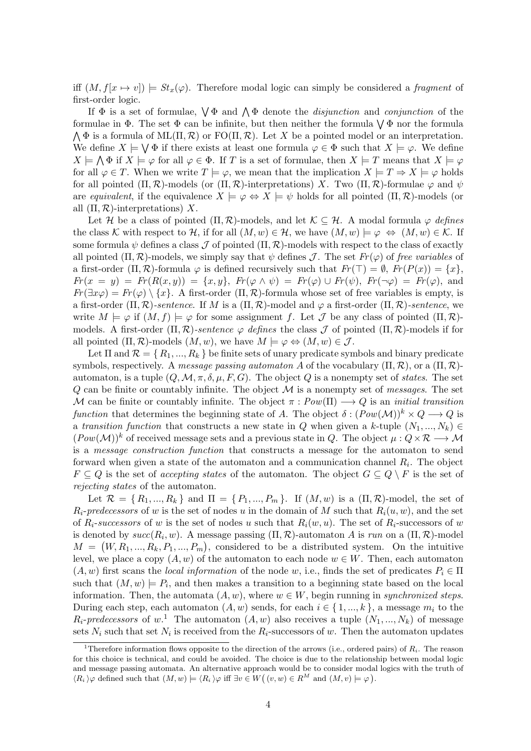iff  $(M, f[x \mapsto v]) \models St_x(\varphi)$ . Therefore modal logic can simply be considered a fragment of first-order logic.

If  $\Phi$  is a set of formulae,  $\bigvee \Phi$  and  $\bigwedge \Phi$  denote the *disjunction* and *conjunction* of the formulae in  $\Phi$ . The set  $\Phi$  can be infinite, but then neither the formula  $\bigvee \Phi$  nor the formula  $\bigwedge \Phi$  is a formula of ML $(\Pi, \mathcal{R})$  or FO $(\Pi, \mathcal{R})$ . Let X be a pointed model or an interpretation. We define  $X \models \bigvee \Phi$  if there exists at least one formula  $\varphi \in \Phi$  such that  $X \models \varphi$ . We define  $X \models \bigwedge \Phi$  if  $X \models \varphi$  for all  $\varphi \in \Phi$ . If T is a set of formulae, then  $X \models T$  means that  $X \models \varphi$ for all  $\varphi \in T$ . When we write  $T \models \varphi$ , we mean that the implication  $X \models T \Rightarrow X \models \varphi$  holds for all pointed  $(\Pi, \mathcal{R})$ -models (or  $(\Pi, \mathcal{R})$ -interpretations) X. Two  $(\Pi, \mathcal{R})$ -formulae  $\varphi$  and  $\psi$ are equivalent, if the equivalence  $X \models \varphi \Leftrightarrow X \models \psi$  holds for all pointed  $(\Pi, \mathcal{R})$ -models (or all  $(\Pi, \mathcal{R})$ -interpretations) X.

Let H be a class of pointed  $(\Pi, \mathcal{R})$ -models, and let  $\mathcal{K} \subseteq \mathcal{H}$ . A modal formula  $\varphi$  defines the class K with respect to H, if for all  $(M, w) \in \mathcal{H}$ , we have  $(M, w) \models \varphi \Leftrightarrow (M, w) \in \mathcal{K}$ . If some formula  $\psi$  defines a class J of pointed  $(\Pi, \mathcal{R})$ -models with respect to the class of exactly all pointed  $(\Pi, \mathcal{R})$ -models, we simply say that  $\psi$  defines  $\mathcal{J}$ . The set  $Fr(\varphi)$  of free variables of a first-order  $(\Pi, \mathcal{R})$ -formula  $\varphi$  is defined recursively such that  $Fr(\top) = \emptyset$ ,  $Fr(P(x)) = \{x\}$ ,  $Fr(x = y) = Fr(R(x, y)) = \{x, y\}, Fr(\varphi \wedge \psi) = Fr(\varphi) \cup Fr(\psi), Fr(\neg \varphi) = Fr(\varphi),$  and  $Fr(\exists x\varphi) = Fr(\varphi) \setminus \{x\}$ . A first-order  $(\Pi, \mathcal{R})$ -formula whose set of free variables is empty, is a first-order  $(\Pi, \mathcal{R})$ -sentence. If M is a  $(\Pi, \mathcal{R})$ -model and  $\varphi$  a first-order  $(\Pi, \mathcal{R})$ -sentence, we write  $M \models \varphi$  if  $(M, f) \models \varphi$  for some assignment f. Let J be any class of pointed  $(\Pi, \mathcal{R})$ models. A first-order  $(\Pi, \mathcal{R})$ -sentence  $\varphi$  defines the class  $\mathcal J$  of pointed  $(\Pi, \mathcal{R})$ -models if for all pointed  $(\Pi, \mathcal{R})$ -models  $(M, w)$ , we have  $M \models \varphi \Leftrightarrow (M, w) \in \mathcal{J}$ .

Let  $\Pi$  and  $\mathcal{R} = \{R_1, ..., R_k\}$  be finite sets of unary predicate symbols and binary predicate symbols, respectively. A message passing automaton A of the vocabulary  $(\Pi, \mathcal{R})$ , or a  $(\Pi, \mathcal{R})$ automaton, is a tuple  $(Q, \mathcal{M}, \pi, \delta, \mu, F, G)$ . The object Q is a nonempty set of states. The set  $Q$  can be finite or countably infinite. The object  $\mathcal M$  is a nonempty set of *messages*. The set M can be finite or countably infinite. The object  $\pi: Pow(\Pi) \longrightarrow Q$  is an *initial transition* function that determines the beginning state of A. The object  $\delta : (Pow(\mathcal{M}))^k \times Q \longrightarrow Q$  is a transition function that constructs a new state in Q when given a k-tuple  $(N_1, ..., N_k)$  $(Pow(\mathcal{M}))^k$  of received message sets and a previous state in Q. The object  $\mu: Q \times \mathcal{R} \longrightarrow \mathcal{M}$ is a message construction function that constructs a message for the automaton to send forward when given a state of the automaton and a communication channel  $R_i$ . The object  $F \subseteq Q$  is the set of accepting states of the automaton. The object  $G \subseteq Q \setminus F$  is the set of rejecting states of the automaton.

Let  $\mathcal{R} = \{R_1, ..., R_k\}$  and  $\Pi = \{P_1, ..., P_m\}$ . If  $(M, w)$  is a  $(\Pi, \mathcal{R})$ -model, the set of  $R_i$ -predecessors of w is the set of nodes u in the domain of M such that  $R_i(u, w)$ , and the set of  $R_i$ -successors of w is the set of nodes u such that  $R_i(w, u)$ . The set of  $R_i$ -successors of w is denoted by  $succ(R_i, w)$ . A message passing  $(\Pi, \mathcal{R})$ -automaton A is run on a  $(\Pi, \mathcal{R})$ -model  $M = (W, R_1, ..., R_k, P_1, ..., P_m)$ , considered to be a distributed system. On the intuitive level, we place a copy  $(A, w)$  of the automaton to each node  $w \in W$ . Then, each automaton  $(A, w)$  first scans the local information of the node w, i.e., finds the set of predicates  $P_i \in \Pi$ such that  $(M, w) \models P_i$ , and then makes a transition to a beginning state based on the local information. Then, the automata  $(A, w)$ , where  $w \in W$ , begin running in synchronized steps. During each step, each automaton  $(A, w)$  sends, for each  $i \in \{1, ..., k\}$ , a message  $m_i$  to the  $R_i$ -predecessors of w.<sup>1</sup> The automaton  $(A, w)$  also receives a tuple  $(N_1, ..., N_k)$  of message sets  $N_i$  such that set  $N_i$  is received from the  $R_i$ -successors of w. Then the automaton updates

<sup>&</sup>lt;sup>1</sup>Therefore information flows opposite to the direction of the arrows (i.e., ordered pairs) of  $R_i$ . The reason for this choice is technical, and could be avoided. The choice is due to the relationship between modal logic and message passing automata. An alternative approach would be to consider modal logics with the truth of  $\langle R_i \rangle \varphi$  defined such that  $(M, w) \models \langle R_i \rangle \varphi$  iff  $\exists v \in W((v, w) \in R^M \text{ and } (M, v) \models \varphi)$ .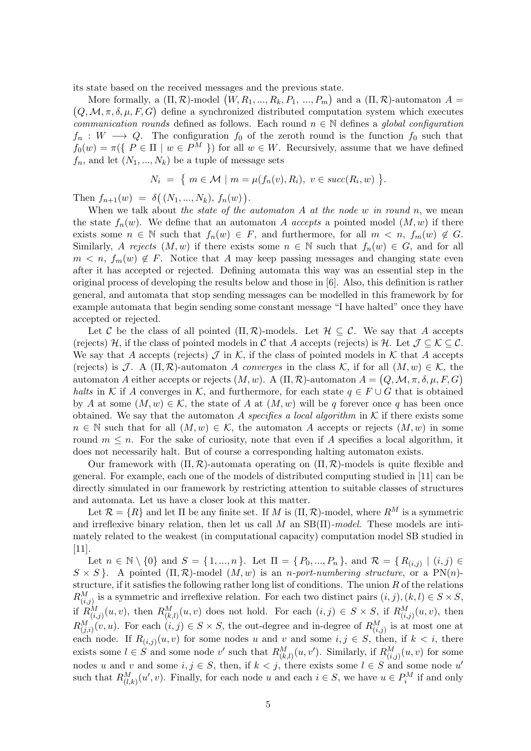its state based on the received messages and the previous state.

More formally, a  $(\Pi, \mathcal{R})$ -model  $(W, R_1, ..., R_k, P_1, ..., P_m)$  and a  $(\Pi, \mathcal{R})$ -automaton  $A =$  $(Q, \mathcal{M}, \pi, \delta, \mu, F, G)$  define a synchronized distributed computation system which executes communication rounds defined as follows. Each round  $n \in \mathbb{N}$  defines a global configuration  $f_n: W \longrightarrow Q$ . The configuration  $f_0$  of the zeroth round is the function  $f_0$  such that  $f_0(w) = \pi({P \in \Pi \mid w \in P^M})$  for all  $w \in W$ . Recursively, assume that we have defined  $f_n$ , and let  $(N_1, ..., N_k)$  be a tuple of message sets

$$
N_i = \{ m \in \mathcal{M} \mid m = \mu(f_n(v), R_i), v \in succ(R_i, w) \}.
$$

Then  $f_{n+1}(w) = \delta((N_1, ..., N_k), f_n(w)).$ 

When we talk about the state of the automaton  $A$  at the node  $w$  in round  $n$ , we mean the state  $f_n(w)$ . We define that an automaton A accepts a pointed model  $(M, w)$  if there exists some  $n \in \mathbb{N}$  such that  $f_n(w) \in F$ , and furthermore, for all  $m < n$ ,  $f_m(w) \notin G$ . Similarly, A rejects  $(M, w)$  if there exists some  $n \in \mathbb{N}$  such that  $f_n(w) \in G$ , and for all  $m < n$ ,  $f_m(w) \notin F$ . Notice that A may keep passing messages and changing state even after it has accepted or rejected. Defining automata this way was an essential step in the original process of developing the results below and those in [6]. Also, this definition is rather general, and automata that stop sending messages can be modelled in this framework by for example automata that begin sending some constant message "I have halted" once they have accepted or rejected.

Let C be the class of all pointed  $(\Pi, \mathcal{R})$ -models. Let  $\mathcal{H} \subseteq \mathcal{C}$ . We say that A accepts (rejects) H, if the class of pointed models in C that A accepts (rejects) is H. Let  $\mathcal{J} \subseteq \mathcal{K} \subseteq \mathcal{C}$ . We say that A accepts (rejects)  $\mathcal J$  in  $\mathcal K$ , if the class of pointed models in  $\mathcal K$  that A accepts (rejects) is J. A ( $\Pi$ ,  $\mathcal{R}$ )-automaton A converges in the class K, if for all  $(M, w) \in \mathcal{K}$ , the automaton A either accepts or rejects  $(M, w)$ . A  $(\Pi, \mathcal{R})$ -automaton  $A = (Q, \mathcal{M}, \pi, \delta, \mu, F, G)$ halts in K if A converges in K, and furthermore, for each state  $q \in F \cup G$  that is obtained by A at some  $(M, w) \in \mathcal{K}$ , the state of A at  $(M, w)$  will be q forever once q has been once obtained. We say that the automaton A specifies a local algorithm in  $K$  if there exists some  $n \in \mathbb{N}$  such that for all  $(M, w) \in \mathcal{K}$ , the automaton A accepts or rejects  $(M, w)$  in some round  $m \leq n$ . For the sake of curiosity, note that even if A specifies a local algorithm, it does not necessarily halt. But of course a corresponding halting automaton exists.

Our framework with  $(\Pi, \mathcal{R})$ -automata operating on  $(\Pi, \mathcal{R})$ -models is quite flexible and general. For example, each one of the models of distributed computing studied in [11] can be directly simulated in our framework by restricting attention to suitable classes of structures and automata. Let us have a closer look at this matter.

Let  $\mathcal{R} = \{R\}$  and let  $\Pi$  be any finite set. If M is  $(\Pi, \mathcal{R})$ -model, where  $R^M$  is a symmetric and irreflexive binary relation, then let us call  $M$  an  $SB(\Pi)$ -model. These models are intimately related to the weakest (in computational capacity) computation model SB studied in [11].

Let  $n \in \mathbb{N} \setminus \{0\}$  and  $S = \{1, ..., n\}$ . Let  $\Pi = \{P_0, ..., P_n\}$ , and  $\mathcal{R} = \{R_{(i,j)} \mid (i,j) \in \mathcal{R}\}$  $S \times S$ . A pointed  $(\Pi, \mathcal{R})$ -model  $(M, w)$  is an *n-port-numbering structure*, or a PN(*n*)structure, if it satisfies the following rather long list of conditions. The union  $R$  of the relations  $R_{(i,j)}^M$  is a symmetric and irreflexive relation. For each two distinct pairs  $(i, j), (k, l) \in S \times S$ , if  $R_{(i,j)}^M(u,v)$ , then  $R_{(k,l)}^M(u,v)$  does not hold. For each  $(i,j) \in S \times S$ , if  $R_{(i,j)}^M(u,v)$ , then  $R_{(j,i)}^M(v, u)$ . For each  $(i, j) \in S \times S$ , the out-degree and in-degree of  $R_{(i,j)}^M$  is at most one at each node. If  $R_{(i,j)}(u, v)$  for some nodes u and v and some  $i, j \in S$ , then, if  $k < i$ , there exists some  $l \in S$  and some node v' such that  $R_{(k,l)}^M(u, v')$ . Similarly, if  $R_{(i,j)}^M(u, v)$  for some nodes u and v and some  $i, j \in S$ , then, if  $k < j$ , there exists some  $l \in S$  and some node u' such that  $R_{(l,k)}^M(u',v)$ . Finally, for each node u and each  $i \in S$ , we have  $u \in P_i^M$  if and only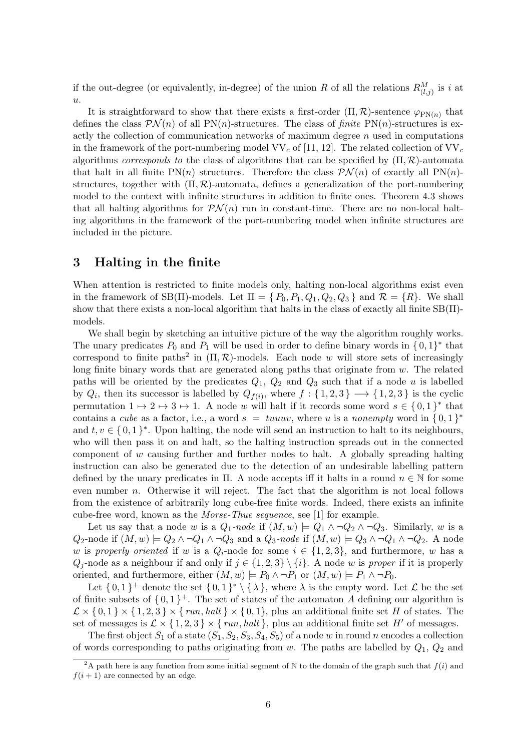if the out-degree (or equivalently, in-degree) of the union R of all the relations  $R_{(l,j)}^M$  is i at  $u$ .

It is straightforward to show that there exists a first-order  $(\Pi, \mathcal{R})$ -sentence  $\varphi_{PN(n)}$  that defines the class  $\mathcal{PN}(n)$  of all PN(n)-structures. The class of finite PN(n)-structures is exactly the collection of communication networks of maximum degree  $n$  used in computations in the framework of the port-numbering model  $VV_c$  of [11, 12]. The related collection of  $VV_c$ algorithms corresponds to the class of algorithms that can be specified by  $(\Pi, \mathcal{R})$ -automata that halt in all finite  $PN(n)$  structures. Therefore the class  $PN(n)$  of exactly all  $PN(n)$ structures, together with  $(\Pi, \mathcal{R})$ -automata, defines a generalization of the port-numbering model to the context with infinite structures in addition to finite ones. Theorem 4.3 shows that all halting algorithms for  $\mathcal{PN}(n)$  run in constant-time. There are no non-local halting algorithms in the framework of the port-numbering model when infinite structures are included in the picture.

### 3 Halting in the finite

When attention is restricted to finite models only, halting non-local algorithms exist even in the framework of SB( $\Pi$ )-models. Let  $\Pi = \{P_0, P_1, Q_1, Q_2, Q_3\}$  and  $\mathcal{R} = \{R\}$ . We shall show that there exists a non-local algorithm that halts in the class of exactly all finite  $SB(\Pi)$ models.

We shall begin by sketching an intuitive picture of the way the algorithm roughly works. The unary predicates  $P_0$  and  $P_1$  will be used in order to define binary words in  $\{0,1\}^*$  that correspond to finite paths<sup>2</sup> in  $(\Pi, \mathcal{R})$ -models. Each node w will store sets of increasingly long finite binary words that are generated along paths that originate from  $w$ . The related paths will be oriented by the predicates  $Q_1$ ,  $Q_2$  and  $Q_3$  such that if a node u is labelled by  $Q_i$ , then its successor is labelled by  $Q_{f(i)}$ , where  $f: \{1,2,3\} \longrightarrow \{1,2,3\}$  is the cyclic permutation  $1 \mapsto 2 \mapsto 3 \mapsto 1$ . A node w will halt if it records some word  $s \in \{0,1\}^*$  that contains a *cube* as a factor, i.e., a word  $s = tuuuv$ , where u is a *nonempty* word in  $\{0,1\}^*$ and  $t, v \in \{0, 1\}^*$ . Upon halting, the node will send an instruction to halt to its neighbours, who will then pass it on and halt, so the halting instruction spreads out in the connected component of  $w$  causing further and further nodes to halt. A globally spreading halting instruction can also be generated due to the detection of an undesirable labelling pattern defined by the unary predicates in  $\Pi$ . A node accepts iff it halts in a round  $n \in \mathbb{N}$  for some even number n. Otherwise it will reject. The fact that the algorithm is not local follows from the existence of arbitrarily long cube-free finite words. Indeed, there exists an infinite cube-free word, known as the Morse-Thue sequence, see [1] for example.

Let us say that a node w is a  $Q_1$ -node if  $(M, w) \models Q_1 \land \neg Q_2 \land \neg Q_3$ . Similarly, w is a Q<sub>2</sub>-node if  $(M, w) \models Q_2 \land \neg Q_1 \land \neg Q_3$  and a  $Q_3$ -node if  $(M, w) \models Q_3 \land \neg Q_1 \land \neg Q_2$ . A node w is properly oriented if w is a  $Q_i$ -node for some  $i \in \{1,2,3\}$ , and furthermore, w has a  $Q_i$ -node as a neighbour if and only if  $j \in \{1,2,3\} \setminus \{i\}$ . A node w is proper if it is properly oriented, and furthermore, either  $(M, w) \models P_0 \land \neg P_1$  or  $(M, w) \models P_1 \land \neg P_0$ .

Let  $\{0,1\}^+$  denote the set  $\{0,1\}^* \setminus \{\lambda\}$ , where  $\lambda$  is the empty word. Let  $\mathcal L$  be the set of finite subsets of  $\{0,1\}^+$ . The set of states of the automaton A defining our algorithm is  $\mathcal{L} \times \{0,1\} \times \{1,2,3\} \times \{run, halt\} \times \{0,1\}$ , plus an additional finite set H of states. The set of messages is  $\mathcal{L} \times \{1, 2, 3\} \times \{run, halt\}$ , plus an additional finite set H' of messages.

The first object  $S_1$  of a state  $(S_1, S_2, S_3, S_4, S_5)$  of a node w in round n encodes a collection of words corresponding to paths originating from  $w$ . The paths are labelled by  $Q_1$ ,  $Q_2$  and

<sup>&</sup>lt;sup>2</sup>A path here is any function from some initial segment of N to the domain of the graph such that  $f(i)$  and  $f(i+1)$  are connected by an edge.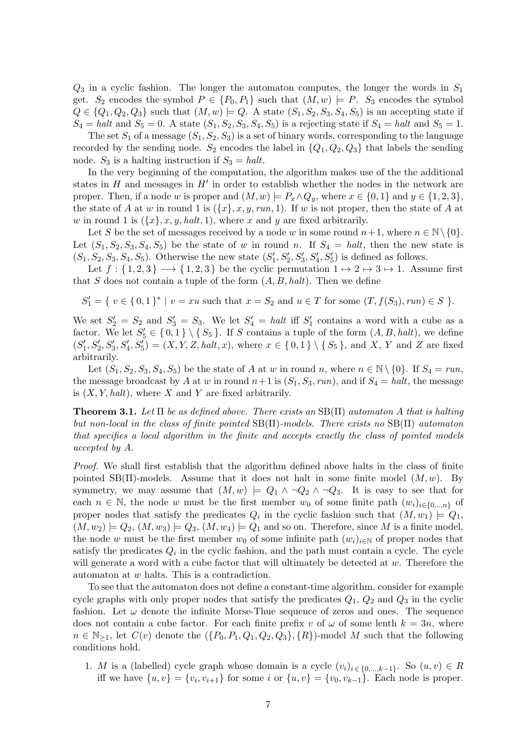$Q_3$  in a cyclic fashion. The longer the automaton computes, the longer the words in  $S_1$ get.  $S_2$  encodes the symbol  $P \in \{P_0, P_1\}$  such that  $(M, w) \models P$ .  $S_3$  encodes the symbol  $Q \in \{Q_1, Q_2, Q_3\}$  such that  $(M, w) \models Q$ . A state  $(S_1, S_2, S_3, S_4, S_5)$  is an accepting state if  $S_4 = \text{halt}$  and  $S_5 = 0$ . A state  $(S_1, S_2, S_3, S_4, S_5)$  is a rejecting state if  $S_4 = \text{halt}$  and  $S_5 = 1$ .

The set  $S_1$  of a message  $(S_1, S_2, S_3)$  is a set of binary words, corresponding to the language recorded by the sending node.  $S_2$  encodes the label in  $\{Q_1, Q_2, Q_3\}$  that labels the sending node.  $S_3$  is a halting instruction if  $S_3 = halt$ .

In the very beginning of the computation, the algorithm makes use of the the additional states in  $H$  and messages in  $H'$  in order to establish whether the nodes in the network are proper. Then, if a node w is proper and  $(M, w) \models P_x \land Q_y$ , where  $x \in \{0, 1\}$  and  $y \in \{1, 2, 3\}$ , the state of A at w in round 1 is  $({x}, x, y, run, 1)$ . If w is not proper, then the state of A at w in round 1 is  $({x}, x, y, halt, 1)$ , where x and y are fixed arbitrarily.

Let S be the set of messages received by a node w in some round  $n+1$ , where  $n \in \mathbb{N} \setminus \{0\}$ . Let  $(S_1, S_2, S_3, S_4, S_5)$  be the state of w in round n. If  $S_4 = \text{halt}$ , then the new state is  $(S_1, S_2, S_3, S_4, S_5)$ . Otherwise the new state  $(S'_1, S'_2, S'_3, S'_4, S'_5)$  is defined as follows.

Let  $f: \{1,2,3\} \longrightarrow \{1,2,3\}$  be the cyclic permutation  $1 \mapsto 2 \mapsto 3 \mapsto 1$ . Assume first that S does not contain a tuple of the form  $(A, B, halt)$ . Then we define

 $S'_1 = \{ v \in \{0,1\}^* \mid v = xu \text{ such that } x = S_2 \text{ and } u \in T \text{ for some } (T, f(S_3), run) \in S \}.$ 

We set  $S_2' = S_2$  and  $S_3' = S_3$ . We let  $S_4' = \text{halt}$  iff  $S_1'$  contains a word with a cube as a factor. We let  $S_5' \in \{0,1\} \setminus \{S_5\}$ . If S contains a tuple of the form  $(A, B, halt)$ , we define  $(S'_1, S'_2, S'_3, S'_4, S'_5) = (X, Y, Z, halt, x),$  where  $x \in \{0,1\} \setminus \{S_5\}$ , and X, Y and Z are fixed arbitrarily.

Let  $(S_1, S_2, S_3, S_4, S_5)$  be the state of A at w in round n, where  $n \in \mathbb{N} \setminus \{0\}$ . If  $S_4 = run$ , the message broadcast by A at w in round  $n+1$  is  $(S_1, S_3, run)$ , and if  $S_4 = halt$ , the message is  $(X, Y, halt)$ , where X and Y are fixed arbitrarily.

**Theorem 3.1.** Let  $\Pi$  be as defined above. There exists an  $SB(\Pi)$  automaton A that is halting but non-local in the class of finite pointed SB(Π)-models. There exists no SB(Π) automaton that specifies a local algorithm in the finite and accepts exactly the class of pointed models accepted by A.

Proof. We shall first establish that the algorithm defined above halts in the class of finite pointed SB( $\Pi$ )-models. Assume that it does not halt in some finite model  $(M, w)$ . By symmetry, we may assume that  $(M, w) \models Q_1 \land \neg Q_2 \land \neg Q_3$ . It is easy to see that for each  $n \in \mathbb{N}$ , the node w must be the first member  $w_0$  of some finite path  $(w_i)_{i \in \{0, \ldots, n\}}$  of proper nodes that satisfy the predicates  $Q_i$  in the cyclic fashion such that  $(M, w_1) \models Q_1$ ,  $(M, w_2) \models Q_2, (M, w_3) \models Q_3, (M, w_4) \models Q_1$  and so on. Therefore, since M is a finite model, the node w must be the first member  $w_0$  of some infinite path  $(w_i)_{i\in\mathbb{N}}$  of proper nodes that satisfy the predicates  $Q_i$  in the cyclic fashion, and the path must contain a cycle. The cycle will generate a word with a cube factor that will ultimately be detected at w. Therefore the automaton at w halts. This is a contradiction.

To see that the automaton does not define a constant-time algorithm, consider for example cycle graphs with only proper nodes that satisfy the predicates  $Q_1$ ,  $Q_2$  and  $Q_3$  in the cyclic fashion. Let  $\omega$  denote the infinite Morse-Thue sequence of zeros and ones. The sequence does not contain a cube factor. For each finite prefix v of  $\omega$  of some lenth  $k = 3n$ , where  $n \in \mathbb{N}_{\geq 1}$ , let  $C(v)$  denote the  $(\{P_0, P_1, Q_1, Q_2, Q_3\}, \{R\})$ -model M such that the following conditions hold.

1. M is a (labelled) cycle graph whose domain is a cycle  $(v_i)_{i \in \{0,\ldots,k-1\}}$ . So  $(u, v) \in R$ iff we have  $\{u, v\} = \{v_i, v_{i+1}\}$  for some i or  $\{u, v\} = \{v_0, v_{k-1}\}.$  Each node is proper.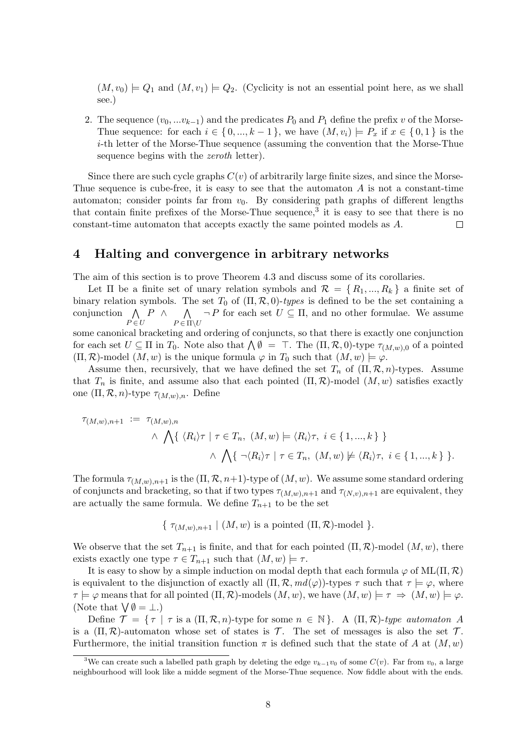$(M, v_0) \models Q_1$  and  $(M, v_1) \models Q_2$ . (Cyclicity is not an essential point here, as we shall see.)

2. The sequence  $(v_0, \ldots v_{k-1})$  and the predicates  $P_0$  and  $P_1$  define the prefix v of the Morse-Thue sequence: for each  $i \in \{0, ..., k-1\}$ , we have  $(M, v_i) \models P_x$  if  $x \in \{0, 1\}$  is the i-th letter of the Morse-Thue sequence (assuming the convention that the Morse-Thue sequence begins with the *zeroth* letter).

Since there are such cycle graphs  $C(v)$  of arbitrarily large finite sizes, and since the Morse-Thue sequence is cube-free, it is easy to see that the automaton  $A$  is not a constant-time automaton; consider points far from  $v_0$ . By considering path graphs of different lengths that contain finite prefixes of the Morse-Thue sequence,<sup>3</sup> it is easy to see that there is no constant-time automaton that accepts exactly the same pointed models as A.  $\Box$ 

#### 4 Halting and convergence in arbitrary networks

The aim of this section is to prove Theorem 4.3 and discuss some of its corollaries.

Let  $\Pi$  be a finite set of unary relation symbols and  $\mathcal{R} = \{R_1, ..., R_k\}$  a finite set of binary relation symbols. The set  $T_0$  of  $(\Pi, \mathcal{R}, 0)$ -types is defined to be the set containing a conjunction  $\Lambda$  $P \in U$  $P \wedge \wedge$  $P \in \Pi \backslash U$  $\neg P$  for each set  $U \subseteq \Pi$ , and no other formulae. We assume some canonical bracketing and ordering of conjuncts, so that there is exactly one conjunction for each set  $U \subseteq \Pi$  in  $T_0$ . Note also that  $\bigwedge \emptyset = \top$ . The  $(\Pi, \mathcal{R}, 0)$ -type  $\tau_{(M,w),0}$  of a pointed

 $(\Pi, \mathcal{R})$ -model  $(M, w)$  is the unique formula  $\varphi$  in  $T_0$  such that  $(M, w) \models \varphi$ . Assume then, recursively, that we have defined the set  $T_n$  of  $(\Pi, \mathcal{R}, n)$ -types. Assume that  $T_n$  is finite, and assume also that each pointed  $(\Pi, \mathcal{R})$ -model  $(M, w)$  satisfies exactly one  $(\Pi, \mathcal{R}, n)$ -type  $\tau_{(M,w),n}$ . Define

$$
\tau_{(M,w),n+1} := \tau_{(M,w),n}
$$
  

$$
\wedge \bigwedge \{ \langle R_i \rangle \tau \mid \tau \in T_n, (M,w) \models \langle R_i \rangle \tau, i \in \{1, ..., k\} \}
$$
  

$$
\wedge \bigwedge \{\neg \langle R_i \rangle \tau \mid \tau \in T_n, (M,w) \not\models \langle R_i \rangle \tau, i \in \{1, ..., k\} \}.
$$

The formula  $\tau_{(M,w),n+1}$  is the  $(\Pi,\mathcal{R},n+1)$ -type of  $(M,w)$ . We assume some standard ordering of conjuncts and bracketing, so that if two types  $\tau_{(M,w),n+1}$  and  $\tau_{(N,v),n+1}$  are equivalent, they are actually the same formula. We define  $T_{n+1}$  to be the set

$$
\{\tau_{(M,w),n+1} \mid (M,w) \text{ is a pointed } (\Pi,\mathcal{R})\text{-model }\}.
$$

We observe that the set  $T_{n+1}$  is finite, and that for each pointed  $(\Pi, \mathcal{R})$ -model  $(M, w)$ , there exists exactly one type  $\tau \in T_{n+1}$  such that  $(M, w) \models \tau$ .

It is easy to show by a simple induction on modal depth that each formula  $\varphi$  of ML( $\Pi$ ,  $\mathcal{R}$ ) is equivalent to the disjunction of exactly all  $(\Pi, \mathcal{R}, md(\varphi))$ -types  $\tau$  such that  $\tau \models \varphi$ , where  $\tau \models \varphi$  means that for all pointed  $(\Pi, \mathcal{R})$ -models  $(M, w)$ , we have  $(M, w) \models \tau \Rightarrow (M, w) \models \varphi$ . (Note that  $\bigvee \emptyset = \bot.$ )

Define  $\mathcal{T} = \{ \tau \mid \tau \text{ is a } (\Pi, \mathcal{R}, n)$ -type for some  $n \in \mathbb{N} \}$ . A  $(\Pi, \mathcal{R})$ -type automaton A is a  $(\Pi, \mathcal{R})$ -automaton whose set of states is T. The set of messages is also the set T. Furthermore, the initial transition function  $\pi$  is defined such that the state of A at  $(M, w)$ 

<sup>&</sup>lt;sup>3</sup>We can create such a labelled path graph by deleting the edge  $v_{k-1}v_0$  of some  $C(v)$ . Far from  $v_0$ , a large neighbourhood will look like a midde segment of the Morse-Thue sequence. Now fiddle about with the ends.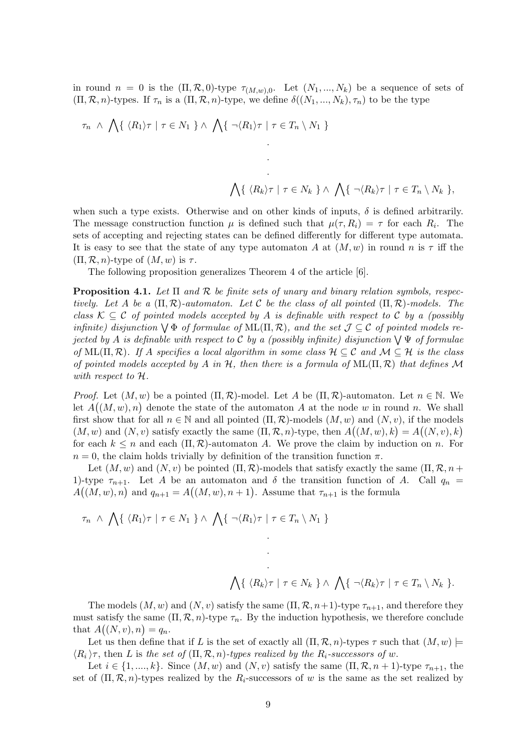in round  $n = 0$  is the  $(\Pi, \mathcal{R}, 0)$ -type  $\tau_{(M,w),0}$ . Let  $(N_1, ..., N_k)$  be a sequence of sets of  $(\Pi, \mathcal{R}, n)$ -types. If  $\tau_n$  is a  $(\Pi, \mathcal{R}, n)$ -type, we define  $\delta((N_1, ..., N_k), \tau_n)$  to be the type

τ<sup>n</sup> ∧ ^ { hR1iτ | τ ∈ N<sup>1</sup> } ∧ ^ { ¬hR1iτ | τ ∈ T<sup>n</sup> \ N<sup>1</sup> } . . . ^ { hRkiτ | τ ∈ N<sup>k</sup> } ∧ ^ { ¬hRkiτ | τ ∈ T<sup>n</sup> \ N<sup>k</sup> },

when such a type exists. Otherwise and on other kinds of inputs,  $\delta$  is defined arbitrarily. The message construction function  $\mu$  is defined such that  $\mu(\tau, R_i) = \tau$  for each  $R_i$ . The sets of accepting and rejecting states can be defined differently for different type automata. It is easy to see that the state of any type automaton A at  $(M, w)$  in round n is  $\tau$  iff the  $(\Pi, \mathcal{R}, n)$ -type of  $(M, w)$  is  $\tau$ .

The following proposition generalizes Theorem 4 of the article [6].

**Proposition 4.1.** Let  $\Pi$  and  $\mathcal R$  be finite sets of unary and binary relation symbols, respectively. Let A be a  $(\Pi, \mathcal{R})$ -automaton. Let C be the class of all pointed  $(\Pi, \mathcal{R})$ -models. The class  $\mathcal{K} \subseteq \mathcal{C}$  of pointed models accepted by A is definable with respect to C by a (possibly infinite) disjunction  $\forall \Phi$  of formulae of ML( $\Pi, \mathcal{R}$ ), and the set  $\mathcal{J} \subseteq \mathcal{C}$  of pointed models rejected by A is definable with respect to C by a (possibly infinite) disjunction  $\bigvee \Psi$  of formulae of ML( $\Pi, \mathcal{R}$ ). If A specifies a local algorithm in some class  $\mathcal{H} \subseteq \mathcal{C}$  and  $\mathcal{M} \subseteq \mathcal{H}$  is the class of pointed models accepted by A in H, then there is a formula of  $ML(\Pi, \mathcal{R})$  that defines M with respect to  $H$ .

*Proof.* Let  $(M, w)$  be a pointed  $(\Pi, \mathcal{R})$ -model. Let A be  $(\Pi, \mathcal{R})$ -automaton. Let  $n \in \mathbb{N}$ . We let  $A((M, w), n)$  denote the state of the automaton A at the node w in round n. We shall first show that for all  $n \in \mathbb{N}$  and all pointed  $(\Pi, \mathcal{R})$ -models  $(M, w)$  and  $(N, v)$ , if the models  $(M, w)$  and  $(N, v)$  satisfy exactly the same  $(\Pi, \mathcal{R}, n)$ -type, then  $A((M, w), k) = A((N, v), k)$ for each  $k \leq n$  and each  $(\Pi, \mathcal{R})$ -automaton A. We prove the claim by induction on n. For  $n = 0$ , the claim holds trivially by definition of the transition function  $\pi$ .

Let  $(M, w)$  and  $(N, v)$  be pointed  $(\Pi, \mathcal{R})$ -models that satisfy exactly the same  $(\Pi, \mathcal{R}, n +$ 1)-type  $\tau_{n+1}$ . Let A be an automaton and  $\delta$  the transition function of A. Call  $q_n$  =  $A((M, w), n)$  and  $q_{n+1} = A((M, w), n+1)$ . Assume that  $\tau_{n+1}$  is the formula

> . . .

$$
\tau_n \ \wedge \ \bigwedge \{ \ \langle R_1 \rangle \tau \mid \tau \in N_1 \ \} \wedge \ \bigwedge \{ \ \neg \langle R_1 \rangle \tau \mid \tau \in T_n \setminus N_1 \ \}
$$

$$
\bigwedge \{ \ \langle R_k \rangle \tau \mid \tau \in N_k \ \} \land \ \bigwedge \{ \ \neg \langle R_k \rangle \tau \mid \tau \in T_n \setminus N_k \ \}.
$$

The models  $(M, w)$  and  $(N, v)$  satisfy the same  $(\Pi, \mathcal{R}, n+1)$ -type  $\tau_{n+1}$ , and therefore they must satisfy the same  $(\Pi, \mathcal{R}, n)$ -type  $\tau_n$ . By the induction hypothesis, we therefore conclude that  $A((N, v), n) = q_n$ .

Let us then define that if L is the set of exactly all  $(\Pi, \mathcal{R}, n)$ -types  $\tau$  such that  $(M, w) \models$  $\langle R_i \rangle \tau$ , then L is the set of  $(\Pi, \mathcal{R}, n)$ -types realized by the  $R_i$ -successors of w.

Let  $i \in \{1, ..., k\}$ . Since  $(M, w)$  and  $(N, v)$  satisfy the same  $(\Pi, \mathcal{R}, n+1)$ -type  $\tau_{n+1}$ , the set of  $(\Pi, \mathcal{R}, n)$ -types realized by the  $R_i$ -successors of w is the same as the set realized by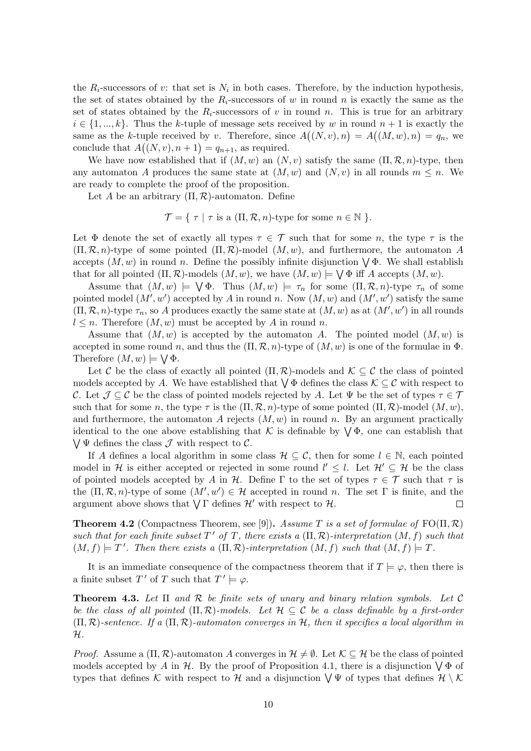the  $R_i$ -successors of v: that set is  $N_i$  in both cases. Therefore, by the induction hypothesis, the set of states obtained by the  $R_i$ -successors of w in round n is exactly the same as the set of states obtained by the  $R_i$ -successors of v in round n. This is true for an arbitrary  $i \in \{1, ..., k\}$ . Thus the k-tuple of message sets received by w in round  $n + 1$  is exactly the same as the k-tuple received by v. Therefore, since  $A((N, v), n) = A((M, w), n) = q_n$ , we conclude that  $A((N, v), n+1) = q_{n+1}$ , as required.

We have now established that if  $(M, w)$  an  $(N, v)$  satisfy the same  $(\Pi, \mathcal{R}, n)$ -type, then any automaton A produces the same state at  $(M, w)$  and  $(N, v)$  in all rounds  $m \leq n$ . We are ready to complete the proof of the proposition.

Let A be an arbitrary  $(\Pi, \mathcal{R})$ -automaton. Define

 $\mathcal{T} = \{ \tau \mid \tau \text{ is a } (\Pi, \mathcal{R}, n) \text{-type for some } n \in \mathbb{N} \}.$ 

Let  $\Phi$  denote the set of exactly all types  $\tau \in \mathcal{T}$  such that for some n, the type  $\tau$  is the  $(\Pi, \mathcal{R}, n)$ -type of some pointed  $(\Pi, \mathcal{R})$ -model  $(M, w)$ , and furthermore, the automaton A accepts  $(M, w)$  in round n. Define the possibly infinite disjunction  $\bigvee \Phi$ . We shall establish that for all pointed  $(\Pi, \mathcal{R})$ -models  $(M, w)$ , we have  $(M, w) \models \bigvee \Phi$  iff A accepts  $(M, w)$ .

Assume that  $(M, w) \models \bigvee \Phi$ . Thus  $(M, w) \models \tau_n$  for some  $(\Pi, \mathcal{R}, n)$ -type  $\tau_n$  of some pointed model  $(M', w')$  accepted by A in round n. Now  $(M, w)$  and  $(M', w')$  satisfy the same  $(\Pi, \mathcal{R}, n)$ -type  $\tau_n$ , so A produces exactly the same state at  $(M, w)$  as at  $(M', w')$  in all rounds  $l \leq n$ . Therefore  $(M, w)$  must be accepted by A in round n.

Assume that  $(M, w)$  is accepted by the automaton A. The pointed model  $(M, w)$  is accepted in some round n, and thus the  $(\Pi, \mathcal{R}, n)$ -type of  $(M, w)$  is one of the formulae in  $\Phi$ . Therefore  $(M, w) \models \bigvee \Phi$ .

Let C be the class of exactly all pointed  $(\Pi, \mathcal{R})$ -models and  $\mathcal{K} \subset \mathcal{C}$  the class of pointed models accepted by A. We have established that  $\setminus \Phi$  defines the class  $\mathcal{K} \subseteq \mathcal{C}$  with respect to C. Let  $\mathcal{J} \subseteq \mathcal{C}$  be the class of pointed models rejected by A. Let  $\Psi$  be the set of types  $\tau \in \mathcal{T}$ such that for some n, the type  $\tau$  is the  $(\Pi, \mathcal{R}, n)$ -type of some pointed  $(\Pi, \mathcal{R})$ -model  $(M, w)$ , and furthermore, the automaton A rejects  $(M, w)$  in round n. By an argument practically identical to the one above establishing that K is definable by  $\forall \Phi$ , one can establish that  $\bigvee \Psi$  defines the class  $\mathcal J$  with respect to  $\mathcal C$ .

If A defines a local algorithm in some class  $\mathcal{H} \subseteq \mathcal{C}$ , then for some  $l \in \mathbb{N}$ , each pointed model in H is either accepted or rejected in some round  $l' \leq l$ . Let  $\mathcal{H}' \subseteq \mathcal{H}$  be the class of pointed models accepted by A in H. Define  $\Gamma$  to the set of types  $\tau \in \mathcal{T}$  such that  $\tau$  is the  $(\Pi, \mathcal{R}, n)$ -type of some  $(M', w') \in \mathcal{H}$  accepted in round n. The set  $\Gamma$  is finite, and the argument above shows that  $\bigvee \Gamma$  defines  $\mathcal{H}'$  with respect to  $\mathcal{H}$ .  $\Box$ 

**Theorem 4.2** (Compactness Theorem, see [9]). Assume T is a set of formulae of  $FO(\Pi, \mathcal{R})$ such that for each finite subset  $T'$  of T, there exists a  $(\Pi, \mathcal{R})$ -interpretation  $(M, f)$  such that  $(M, f) \models T'.$  Then there exists a  $(\Pi, \mathcal{R})$ -interpretation  $(M, f)$  such that  $(M, f) \models T$ .

It is an immediate consequence of the compactness theorem that if  $T \models \varphi$ , then there is a finite subset T' of T such that  $T' \models \varphi$ .

**Theorem 4.3.** Let  $\Pi$  and  $\mathcal{R}$  be finite sets of unary and binary relation symbols. Let  $\mathcal{C}$ be the class of all pointed  $(\Pi, \mathcal{R})$ -models. Let  $\mathcal{H} \subseteq \mathcal{C}$  be a class definable by a first-order  $(\Pi, \mathcal{R})$ -sentence. If a  $(\Pi, \mathcal{R})$ -automaton converges in H, then it specifies a local algorithm in H.

*Proof.* Assume a  $(\Pi, \mathcal{R})$ -automaton A converges in  $\mathcal{H} \neq \emptyset$ . Let  $\mathcal{K} \subseteq \mathcal{H}$  be the class of pointed models accepted by A in H. By the proof of Proposition 4.1, there is a disjunction  $\bigvee \Phi$  of types that defines K with respect to H and a disjunction  $\bigvee \Psi$  of types that defines  $\mathcal{H} \setminus \mathcal{K}$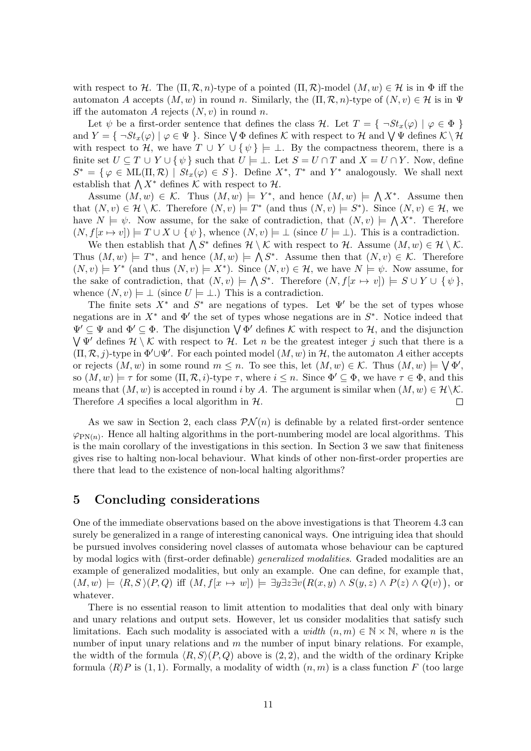with respect to H. The  $(\Pi, \mathcal{R}, n)$ -type of a pointed  $(\Pi, \mathcal{R})$ -model  $(M, w) \in \mathcal{H}$  is in  $\Phi$  iff the automaton A accepts  $(M, w)$  in round n. Similarly, the  $(\Pi, \mathcal{R}, n)$ -type of  $(N, v) \in \mathcal{H}$  is in  $\Psi$ iff the automaton A rejects  $(N, v)$  in round n.

Let  $\psi$  be a first-order sentence that defines the class H. Let  $T = \{ \neg St_x(\varphi) \mid \varphi \in \Phi \}$ and  $Y = \{\neg St_x(\varphi) \mid \varphi \in \Psi\}$ . Since  $\bigvee \Phi$  defines K with respect to H and  $\bigvee \Psi$  defines  $K \setminus \mathcal{H}$ with respect to H, we have  $T \cup Y \cup {\psi} \models \bot$ . By the compactness theorem, there is a finite set  $U \subseteq T \cup Y \cup \{\psi\}$  such that  $U \models \bot$ . Let  $S = U \cap T$  and  $X = U \cap Y$ . Now, define  $S^* = \{ \varphi \in \text{ML}(\Pi, \mathcal{R}) \mid St_x(\varphi) \in S \}.$  Define  $X^*$ ,  $T^*$  and  $Y^*$  analogously. We shall next establish that  $\bigwedge X^*$  defines K with respect to H.

Assume  $(M, w) \in \mathcal{K}$ . Thus  $(M, w) \models Y^*$ , and hence  $(M, w) \models \bigwedge X^*$ . Assume then that  $(N, v) \in \mathcal{H} \setminus \mathcal{K}$ . Therefore  $(N, v) \models T^*$  (and thus  $(N, v) \models S^*$ ). Since  $(N, v) \in \mathcal{H}$ , we have  $N \models \psi$ . Now assume, for the sake of contradiction, that  $(N, v) \models \bigwedge X^*$ . Therefore  $(N, f[x \mapsto v]) \models T \cup X \cup \{\psi\},\$  whence  $(N, v) \models \bot$  (since  $U \models \bot$ ). This is a contradiction.

We then establish that  $\bigwedge S^*$  defines  $\mathcal{H} \setminus \mathcal{K}$  with respect to  $\mathcal{H}$ . Assume  $(M, w) \in \mathcal{H} \setminus \mathcal{K}$ . Thus  $(M, w) \models T^*$ , and hence  $(M, w) \models \bigwedge S^*$ . Assume then that  $(N, v) \in \mathcal{K}$ . Therefore  $(N, v) \models Y^*$  (and thus  $(N, v) \models X^*$ ). Since  $(N, v) \in \mathcal{H}$ , we have  $N \models \psi$ . Now assume, for the sake of contradiction, that  $(N, v) \models \bigwedge S^*$ . Therefore  $(N, f[x \mapsto v]) \models S \cup Y \cup \{\psi\},\$ whence  $(N, v) \models \bot$  (since  $U \models \bot$ .) This is a contradiction.

The finite sets  $X^*$  and  $S^*$  are negations of types. Let  $\Psi'$  be the set of types whose negations are in  $X^*$  and  $\Phi'$  the set of types whose negations are in  $S^*$ . Notice indeed that  $\Psi' \subseteq \Psi$  and  $\Phi' \subseteq \Phi$ . The disjunction  $\bigvee \Phi'$  defines K with respect to H, and the disjunction  $\bigvee \Psi'$  defines  $\mathcal{H} \setminus \mathcal{K}$  with respect to  $\mathcal{H}$ . Let n be the greatest integer j such that there is a  $(\Pi, \mathcal{R}, j)$ -type in  $\Phi' \cup \Psi'$ . For each pointed model  $(M, w)$  in H, the automaton A either accepts or rejects  $(M, w)$  in some round  $m \leq n$ . To see this, let  $(M, w) \in \mathcal{K}$ . Thus  $(M, w) \models \bigvee \Phi',$ so  $(M, w) \models \tau$  for some  $(\Pi, \mathcal{R}, i)$ -type  $\tau$ , where  $i \leq n$ . Since  $\Phi' \subseteq \Phi$ , we have  $\tau \in \Phi$ , and this means that  $(M, w)$  is accepted in round i by A. The argument is similar when  $(M, w) \in \mathcal{H} \backslash \mathcal{K}$ .  $\Box$ Therefore A specifies a local algorithm in  $H$ .

As we saw in Section 2, each class  $\mathcal{PN}(n)$  is definable by a related first-order sentence  $\varphi_{\text{PN}(n)}$ . Hence all halting algorithms in the port-numbering model are local algorithms. This is the main corollary of the investigations in this section. In Section 3 we saw that finiteness gives rise to halting non-local behaviour. What kinds of other non-first-order properties are there that lead to the existence of non-local halting algorithms?

#### 5 Concluding considerations

One of the immediate observations based on the above investigations is that Theorem 4.3 can surely be generalized in a range of interesting canonical ways. One intriguing idea that should be pursued involves considering novel classes of automata whose behaviour can be captured by modal logics with (first-order definable) generalized modalities. Graded modalities are an example of generalized modalities, but only an example. One can define, for example that,  $(M, w) \models \langle R, S \rangle (P, Q)$  iff  $(M, f[x \mapsto w]) \models \exists y \exists z \exists v (R(x, y) \land S(y, z) \land P(z) \land Q(v)),$  or whatever.

There is no essential reason to limit attention to modalities that deal only with binary and unary relations and output sets. However, let us consider modalities that satisfy such limitations. Each such modality is associated with a *width*  $(n, m) \in \mathbb{N} \times \mathbb{N}$ , where *n* is the number of input unary relations and  $m$  the number of input binary relations. For example, the width of the formula  $\langle R, S \rangle (P, Q)$  above is (2, 2), and the width of the ordinary Kripke formula  $\langle R \rangle P$  is (1, 1). Formally, a modality of width  $(n, m)$  is a class function F (too large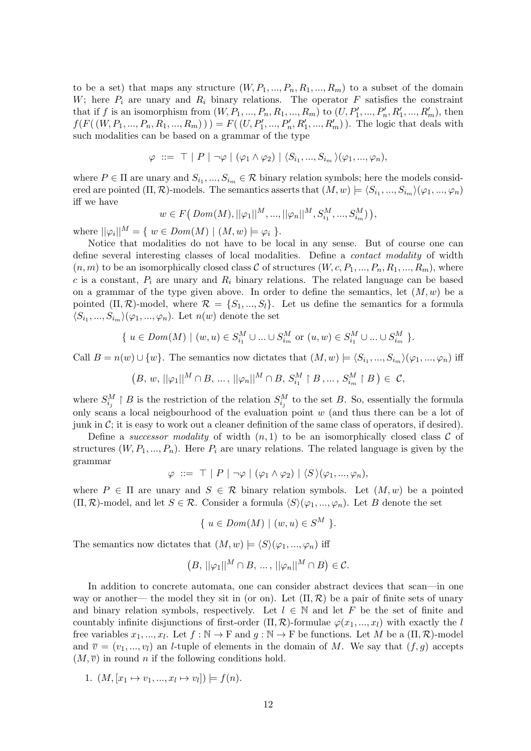to be a set) that maps any structure  $(W, P_1, ..., P_n, R_1, ..., R_m)$  to a subset of the domain W; here  $P_i$  are unary and  $R_i$  binary relations. The operator  $F$  satisfies the constraint that if f is an isomorphism from  $(W, P_1, ..., P_n, R_1, ..., R_m)$  to  $(U, P'_1, ..., P'_n, R'_1, ..., R'_m)$ , then  $f(F((W, P_1, ..., P_n, R_1, ..., R_m))) = F((U, P'_1, ..., P'_n, R'_1, ..., R'_m))$ . The logic that deals with such modalities can be based on a grammar of the type

$$
\varphi \ ::= \top | P | \neg \varphi | (\varphi_1 \land \varphi_2) | \langle S_{i_1}, ..., S_{i_m} \rangle (\varphi_1, ..., \varphi_n),
$$

where  $P \in \Pi$  are unary and  $S_{i_1},...,S_{i_m} \in \mathcal{R}$  binary relation symbols; here the models considered are pointed  $(\Pi, \mathcal{R})$ -models. The semantics asserts that  $(M, w) \models \langle S_{i_1}, ..., S_{i_m} \rangle (\varphi_1, ..., \varphi_n)$ iff we have

$$
w \in F(Dom(M), ||\varphi_1||^M, ..., ||\varphi_n||^M, S_{i_1}^M, ..., S_{i_m}^M),
$$

where  $\|\varphi_i\|^M = \{ w \in Dom(M) \mid (M, w) \models \varphi_i \}.$ 

Notice that modalities do not have to be local in any sense. But of course one can define several interesting classes of local modalities. Define a contact modality of width  $(n, m)$  to be an isomorphically closed class C of structures  $(W, c, P_1, ..., P_n, R_1, ..., R_m)$ , where c is a constant,  $P_i$  are unary and  $R_i$  binary relations. The related language can be based on a grammar of the type given above. In order to define the semantics, let  $(M, w)$  be a pointed  $(\Pi, \mathcal{R})$ -model, where  $\mathcal{R} = \{S_1, ..., S_l\}$ . Let us define the semantics for a formula  $\langle S_{i_1},...,S_{i_m}\rangle(\varphi_1,...,\varphi_n)$ . Let  $n(w)$  denote the set

$$
\{ u \in Dom(M) \mid (w, u) \in S_{i_1}^M \cup ... \cup S_{i_m}^M \text{ or } (u, w) \in S_{i_1}^M \cup ... \cup S_{i_m}^M \}.
$$

Call  $B = n(w) \cup \{w\}$ . The semantics now dictates that  $(M, w) \models \langle S_{i_1}, ..., S_{i_m} \rangle (\varphi_1, ..., \varphi_n)$  iff

$$
(B, w, ||\varphi_1||^M \cap B, ..., ||\varphi_n||^M \cap B, S_{i_1}^M \upharpoonright B, ..., S_{i_m}^M \upharpoonright B) \in \mathcal{C},
$$

where  $S_{i_j}^M \upharpoonright B$  is the restriction of the relation  $S_{i_j}^M$  to the set B. So, essentially the formula only scans a local neigbourhood of the evaluation point w (and thus there can be a lot of junk in  $\mathcal{C}$ ; it is easy to work out a cleaner definition of the same class of operators, if desired).

Define a *successor modality* of width  $(n, 1)$  to be an isomorphically closed class C of structures  $(W, P_1, ..., P_n)$ . Here  $P_i$  are unary relations. The related language is given by the grammar

$$
\varphi \ ::= \ \top \ | \ P \ | \ \neg \varphi \ | \ (\varphi_1 \wedge \varphi_2) \ | \ \langle S \rangle(\varphi_1,...,\varphi_n),
$$

where  $P \in \Pi$  are unary and  $S \in \mathcal{R}$  binary relation symbols. Let  $(M, w)$  be a pointed  $(\Pi, \mathcal{R})$ -model, and let  $S \in \mathcal{R}$ . Consider a formula  $\langle S \rangle(\varphi_1, ..., \varphi_n)$ . Let B denote the set

$$
\{ u \in Dom(M) \mid (w, u) \in S^M \}.
$$

The semantics now dictates that  $(M, w) \models \langle S \rangle (\varphi_1, ..., \varphi_n)$  iff

$$
(B, ||\varphi_1||^M \cap B, ..., ||\varphi_n||^M \cap B) \in \mathcal{C}.
$$

In addition to concrete automata, one can consider abstract devices that scan—in one way or another— the model they sit in (or on). Let  $(\Pi, \mathcal{R})$  be a pair of finite sets of unary and binary relation symbols, respectively. Let  $l \in \mathbb{N}$  and let F be the set of finite and countably infinite disjunctions of first-order  $(\Pi, \mathcal{R})$ -formulae  $\varphi(x_1, ..., x_l)$  with exactly the l free variables  $x_1, ..., x_l$ . Let  $f : \mathbb{N} \to \mathbb{F}$  and  $g : \mathbb{N} \to \mathbb{F}$  be functions. Let M be a  $(\Pi, \mathcal{R})$ -model and  $\overline{v} = (v_1, ..., v_l)$  an *l*-tuple of elements in the domain of M. We say that  $(f, g)$  accepts  $(M, \overline{v})$  in round *n* if the following conditions hold.

1.  $(M, [x_1 \mapsto v_1, ..., x_l \mapsto v_l]) \models f(n)$ .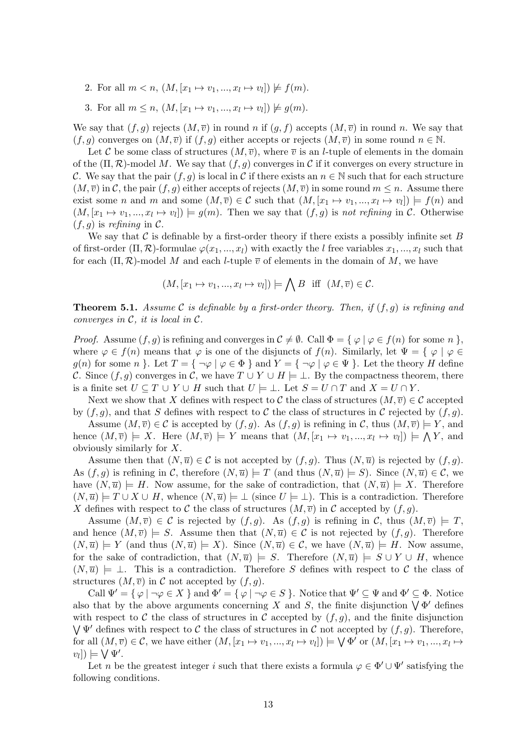- 2. For all  $m < n, (M, [x_1 \mapsto v_1, ..., x_l \mapsto v_l]) \not\models f(m)$ .
- 3. For all  $m \leq n$ ,  $(M, [x_1 \mapsto v_1, ..., x_l \mapsto v_l]) \not\models g(m)$ .

We say that  $(f, g)$  rejects  $(M, \overline{v})$  in round n if  $(g, f)$  accepts  $(M, \overline{v})$  in round n. We say that  $(f, g)$  converges on  $(M, \overline{v})$  if  $(f, g)$  either accepts or rejects  $(M, \overline{v})$  in some round  $n \in \mathbb{N}$ .

Let C be some class of structures  $(M, \overline{v})$ , where  $\overline{v}$  is an *l*-tuple of elements in the domain of the  $(\Pi, \mathcal{R})$ -model M. We say that  $(f, g)$  converges in C if it converges on every structure in C. We say that the pair  $(f, g)$  is local in C if there exists an  $n \in \mathbb{N}$  such that for each structure  $(M, \overline{v})$  in C, the pair  $(f, g)$  either accepts of rejects  $(M, \overline{v})$  in some round  $m \leq n$ . Assume there exist some *n* and *m* and some  $(M, \overline{v}) \in \mathcal{C}$  such that  $(M, [x_1 \mapsto v_1, ..., x_l \mapsto v_l]) \models f(n)$  and  $(M, [x_1 \mapsto v_1, ..., x_l \mapsto v_l]) \models g(m)$ . Then we say that  $(f, g)$  is not refining in C. Otherwise  $(f, g)$  is refining in C.

We say that  $\mathcal C$  is definable by a first-order theory if there exists a possibly infinite set  $B$ of first-order  $(\Pi, \mathcal{R})$ -formulae  $\varphi(x_1, ..., x_l)$  with exactly the l free variables  $x_1, ..., x_l$  such that for each  $(\Pi, \mathcal{R})$ -model M and each *l*-tuple  $\overline{v}$  of elements in the domain of M, we have

$$
(M, [x_1 \mapsto v_1, ..., x_l \mapsto v_l]) \models \bigwedge B \text{ iff } (M, \overline{v}) \in \mathcal{C}.
$$

**Theorem 5.1.** Assume C is definable by a first-order theory. Then, if  $(f, q)$  is refining and converges in  $\mathcal{C}$ , it is local in  $\mathcal{C}$ .

*Proof.* Assume  $(f, g)$  is refining and converges in  $C \neq \emptyset$ . Call  $\Phi = \{ \varphi \mid \varphi \in f(n) \text{ for some } n \}$ , where  $\varphi \in f(n)$  means that  $\varphi$  is one of the disjuncts of  $f(n)$ . Similarly, let  $\Psi = \{ \varphi \mid \varphi \in f(n) \}$ g(n) for some n }. Let  $T = \{ \neg \varphi \mid \varphi \in \Phi \}$  and  $Y = \{ \neg \varphi \mid \varphi \in \Psi \}$ . Let the theory H define C. Since  $(f, g)$  converges in C, we have  $T \cup Y \cup H \models \bot$ . By the compactness theorem, there is a finite set  $U \subseteq T \cup Y \cup H$  such that  $U \models \bot$ . Let  $S = U \cap T$  and  $X = U \cap Y$ .

Next we show that X defines with respect to C the class of structures  $(M, \overline{v}) \in C$  accepted by  $(f, g)$ , and that S defines with respect to C the class of structures in C rejected by  $(f, g)$ .

Assume  $(M, \overline{v}) \in \mathcal{C}$  is accepted by  $(f, g)$ . As  $(f, g)$  is refining in C, thus  $(M, \overline{v}) \models Y$ , and hence  $(M, \overline{v}) \models X$ . Here  $(M, \overline{v}) \models Y$  means that  $(M, [x_1 \mapsto v_1, ..., x_l \mapsto v_l]) \models \bigwedge Y$ , and obviously similarly for X.

Assume then that  $(N,\overline{u}) \in \mathcal{C}$  is not accepted by  $(f,g)$ . Thus  $(N,\overline{u})$  is rejected by  $(f,g)$ . As  $(f, g)$  is refining in C, therefore  $(N, \overline{u}) \models T$  (and thus  $(N, \overline{u}) \models S$ ). Since  $(N, \overline{u}) \in \mathcal{C}$ , we have  $(N, \overline{u}) \models H$ . Now assume, for the sake of contradiction, that  $(N, \overline{u}) \models X$ . Therefore  $(N, \overline{u})$  =  $T \cup X \cup H$ , whence  $(N, \overline{u})$  =  $\bot$  (since  $U \models \bot$ ). This is a contradiction. Therefore X defines with respect to C the class of structures  $(M, \overline{v})$  in C accepted by  $(f, g)$ .

Assume  $(M, \overline{v}) \in \mathcal{C}$  is rejected by  $(f, g)$ . As  $(f, g)$  is refining in C, thus  $(M, \overline{v}) \models T$ , and hence  $(M, \overline{v}) \models S$ . Assume then that  $(N, \overline{u}) \in C$  is not rejected by  $(f, g)$ . Therefore  $(N, \overline{u}) \models Y$  (and thus  $(N, \overline{u}) \models X$ ). Since  $(N, \overline{u}) \in \mathcal{C}$ , we have  $(N, \overline{u}) \models H$ . Now assume, for the sake of contradiction, that  $(N, \overline{u}) \models S$ . Therefore  $(N, \overline{u}) \models S \cup Y \cup H$ , whence  $(N, \overline{u}) \models \bot$ . This is a contradiction. Therefore S defines with respect to C the class of structures  $(M, \overline{v})$  in C not accepted by  $(f, g)$ .

Call  $\Psi' = {\varphi \mid \neg \varphi \in X \}$  and  $\Phi' = {\varphi \mid \neg \varphi \in S \}$ . Notice that  $\Psi' \subseteq \Psi$  and  $\Phi' \subseteq \Phi$ . Notice also that by the above arguments concerning X and S, the finite disjunction  $\bigvee \Phi'$  defines with respect to C the class of structures in C accepted by  $(f, g)$ , and the finite disjunction  $\bigvee \Psi'$  defines with respect to C the class of structures in C not accepted by  $(f, g)$ . Therefore, for all  $(M, \overline{v}) \in \mathcal{C}$ , we have either  $(M, [x_1 \mapsto v_1, ..., x_l \mapsto v_l]) \models \bigvee \Phi'$  or  $(M, [x_1 \mapsto v_1, ..., x_l \mapsto v_l])$  $[v_l]$ )  $\models \bigvee \Psi'.$ 

Let n be the greatest integer i such that there exists a formula  $\varphi \in \Phi' \cup \Psi'$  satisfying the following conditions.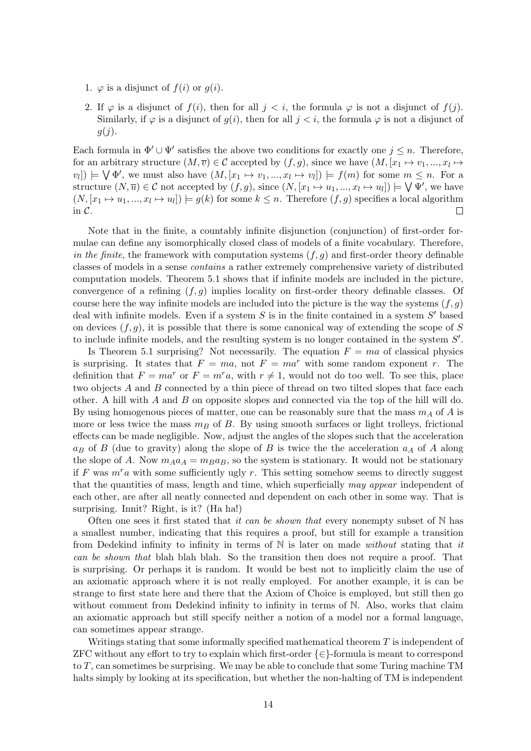- 1.  $\varphi$  is a disjunct of  $f(i)$  or  $g(i)$ .
- 2. If  $\varphi$  is a disjunct of  $f(i)$ , then for all  $j < i$ , the formula  $\varphi$  is not a disjunct of  $f(j)$ . Similarly, if  $\varphi$  is a disjunct of  $g(i)$ , then for all  $j < i$ , the formula  $\varphi$  is not a disjunct of  $g(j)$ .

Each formula in  $\Phi' \cup \Psi'$  satisfies the above two conditions for exactly one  $j \leq n$ . Therefore, for an arbitrary structure  $(M, \overline{v}) \in \mathcal{C}$  accepted by  $(f, g)$ , since we have  $(M, [x_1 \mapsto v_1, ..., x_l \mapsto$  $[v_l]$   $\models \bigvee \Phi'$ , we must also have  $(M, [x_1 \mapsto v_1, ..., x_l \mapsto v_l]) \models f(m)$  for some  $m \leq n$ . For a structure  $(N, \overline{u}) \in \mathcal{C}$  not accepted by  $(f, g)$ , since  $(N, [x_1 \mapsto u_1, ..., x_l \mapsto u_l]) \models \bigvee \Psi'$ , we have  $(N, [x_1 \mapsto u_1, ..., x_l \mapsto u_l]) \models g(k)$  for some  $k \leq n$ . Therefore  $(f, g)$  specifies a local algorithm in C. П

Note that in the finite, a countably infinite disjunction (conjunction) of first-order formulae can define any isomorphically closed class of models of a finite vocabulary. Therefore, in the finite, the framework with computation systems  $(f, g)$  and first-order theory definable classes of models in a sense contains a rather extremely comprehensive variety of distributed computation models. Theorem 5.1 shows that if infinite models are included in the picture, convergence of a refining  $(f, g)$  implies locality on first-order theory definable classes. Of course here the way infinite models are included into the picture is the way the systems  $(f, g)$ deal with infinite models. Even if a system  $S$  is in the finite contained in a system  $S'$  based on devices  $(f, q)$ , it is possible that there is some canonical way of extending the scope of S to include infinite models, and the resulting system is no longer contained in the system  $S'$ .

Is Theorem 5.1 surprising? Not necessarily. The equation  $F = ma$  of classical physics is surprising. It states that  $F = ma$ , not  $F = ma<sup>r</sup>$  with some random exponent r. The definition that  $F = ma^r$  or  $F = m^r a$ , with  $r \neq 1$ , would not do too well. To see this, place two objects A and B connected by a thin piece of thread on two tilted slopes that face each other. A hill with  $A$  and  $B$  on opposite slopes and connected via the top of the hill will do. By using homogenous pieces of matter, one can be reasonably sure that the mass  $m_A$  of A is more or less twice the mass  $m_B$  of B. By using smooth surfaces or light trolleys, frictional effects can be made negligible. Now, adjust the angles of the slopes such that the acceleration  $a_B$  of B (due to gravity) along the slope of B is twice the the acceleration  $a_A$  of A along the slope of A. Now  $m_A a_A = m_B a_B$ , so the system is stationary. It would not be stationary if F was  $m^r a$  with some sufficiently ugly r. This setting somehow seems to directly suggest that the quantities of mass, length and time, which superficially may appear independent of each other, are after all neatly connected and dependent on each other in some way. That is surprising. Innit? Right, is it? (Ha ha!)

Often one sees it first stated that it can be shown that every nonempty subset of  $N$  has a smallest number, indicating that this requires a proof, but still for example a transition from Dedekind infinity to infinity in terms of  $\mathbb N$  is later on made without stating that it can be shown that blah blah blah. So the transition then does not require a proof. That is surprising. Or perhaps it is random. It would be best not to implicitly claim the use of an axiomatic approach where it is not really employed. For another example, it is can be strange to first state here and there that the Axiom of Choice is employed, but still then go without comment from Dedekind infinity to infinity in terms of  $\mathbb N$ . Also, works that claim an axiomatic approach but still specify neither a notion of a model nor a formal language, can sometimes appear strange.

Writings stating that some informally specified mathematical theorem  $T$  is independent of ZFC without any effort to try to explain which first-order  $\{\in\}$ -formula is meant to correspond to  $T$ , can sometimes be surprising. We may be able to conclude that some Turing machine TM halts simply by looking at its specification, but whether the non-halting of TM is independent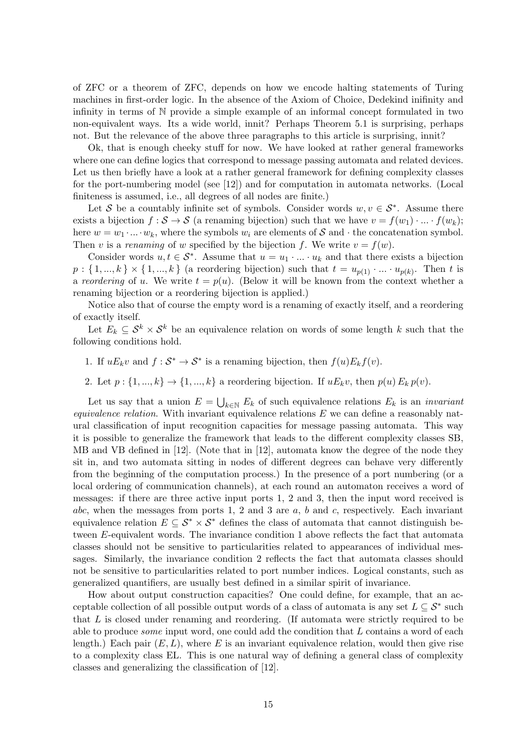of ZFC or a theorem of ZFC, depends on how we encode halting statements of Turing machines in first-order logic. In the absence of the Axiom of Choice, Dedekind inifinity and infinity in terms of N provide a simple example of an informal concept formulated in two non-equivalent ways. Its a wide world, innit? Perhaps Theorem 5.1 is surprising, perhaps not. But the relevance of the above three paragraphs to this article is surprising, innit?

Ok, that is enough cheeky stuff for now. We have looked at rather general frameworks where one can define logics that correspond to message passing automata and related devices. Let us then briefly have a look at a rather general framework for defining complexity classes for the port-numbering model (see [12]) and for computation in automata networks. (Local finiteness is assumed, i.e., all degrees of all nodes are finite.)

Let S be a countably infinite set of symbols. Consider words  $w, v \in S^*$ . Assume there exists a bijection  $f : \mathcal{S} \to \mathcal{S}$  (a renaming bijection) such that we have  $v = f(w_1) \cdot ... \cdot f(w_k)$ ; here  $w = w_1 \cdot ... \cdot w_k$ , where the symbols  $w_i$  are elements of S and  $\cdot$  the concatenation symbol. Then v is a renaming of w specified by the bijection f. We write  $v = f(w)$ .

Consider words  $u, t \in S^*$ . Assume that  $u = u_1 \cdot ... \cdot u_k$  and that there exists a bijection  $p: \{1, ..., k\} \times \{1, ..., k\}$  (a reordering bijection) such that  $t = u_{p(1)} \cdot ... \cdot u_{p(k)}$ . Then t is a reordering of u. We write  $t = p(u)$ . (Below it will be known from the context whether a renaming bijection or a reordering bijection is applied.)

Notice also that of course the empty word is a renaming of exactly itself, and a reordering of exactly itself.

Let  $E_k \subseteq \mathcal{S}^k \times \mathcal{S}^k$  be an equivalence relation on words of some length k such that the following conditions hold.

- 1. If  $uE_k v$  and  $f : S^* \to S^*$  is a renaming bijection, then  $f(u)E_k f(v)$ .
- 2. Let  $p: \{1, ..., k\} \rightarrow \{1, ..., k\}$  a reordering bijection. If  $uE_kv$ , then  $p(u) E_k p(v)$ .

Let us say that a union  $E = \bigcup_{k \in \mathbb{N}} E_k$  of such equivalence relations  $E_k$  is an *invariant* equivalence relation. With invariant equivalence relations  $E$  we can define a reasonably natural classification of input recognition capacities for message passing automata. This way it is possible to generalize the framework that leads to the different complexity classes SB, MB and VB defined in [12]. (Note that in [12], automata know the degree of the node they sit in, and two automata sitting in nodes of different degrees can behave very differently from the beginning of the computation process.) In the presence of a port numbering (or a local ordering of communication channels), at each round an automaton receives a word of messages: if there are three active input ports 1, 2 and 3, then the input word received is abc, when the messages from ports 1, 2 and 3 are  $a, b$  and  $c$ , respectively. Each invariant equivalence relation  $E \subseteq \mathcal{S}^* \times \mathcal{S}^*$  defines the class of automata that cannot distinguish between E-equivalent words. The invariance condition 1 above reflects the fact that automata classes should not be sensitive to particularities related to appearances of individual messages. Similarly, the invariance condition 2 reflects the fact that automata classes should not be sensitive to particularities related to port number indices. Logical constants, such as generalized quantifiers, are usually best defined in a similar spirit of invariance.

How about output construction capacities? One could define, for example, that an acceptable collection of all possible output words of a class of automata is any set  $L \subseteq \mathcal{S}^*$  such that L is closed under renaming and reordering. (If automata were strictly required to be able to produce some input word, one could add the condition that L contains a word of each length.) Each pair  $(E, L)$ , where E is an invariant equivalence relation, would then give rise to a complexity class EL. This is one natural way of defining a general class of complexity classes and generalizing the classification of [12].